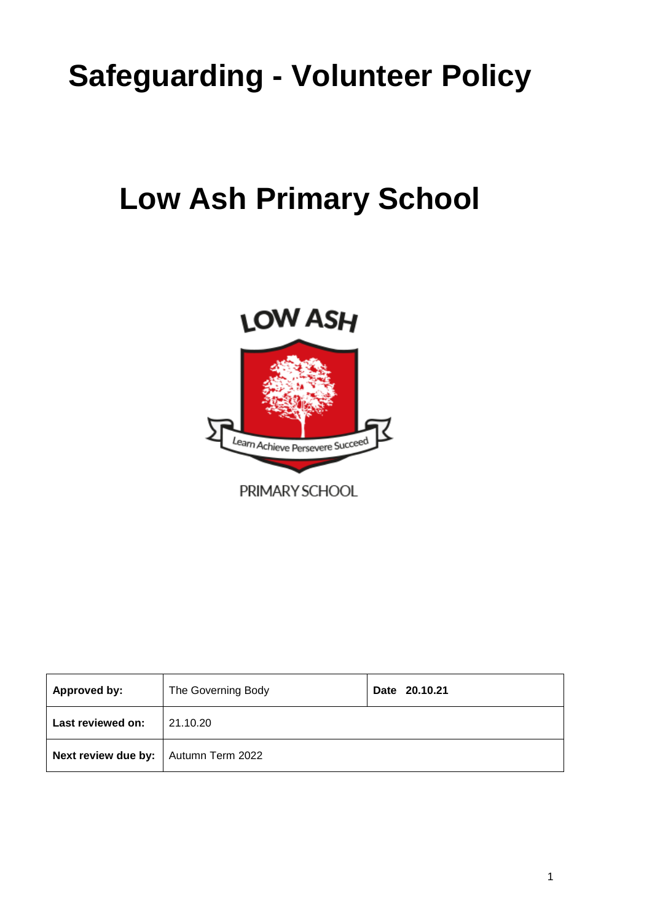# **Safeguarding - Volunteer Policy**

## **Low Ash Primary School**



| <b>Approved by:</b>                           | The Governing Body | Date 20.10.21 |
|-----------------------------------------------|--------------------|---------------|
| Last reviewed on:                             | 21.10.20           |               |
| <b>Next review due by:</b>   Autumn Term 2022 |                    |               |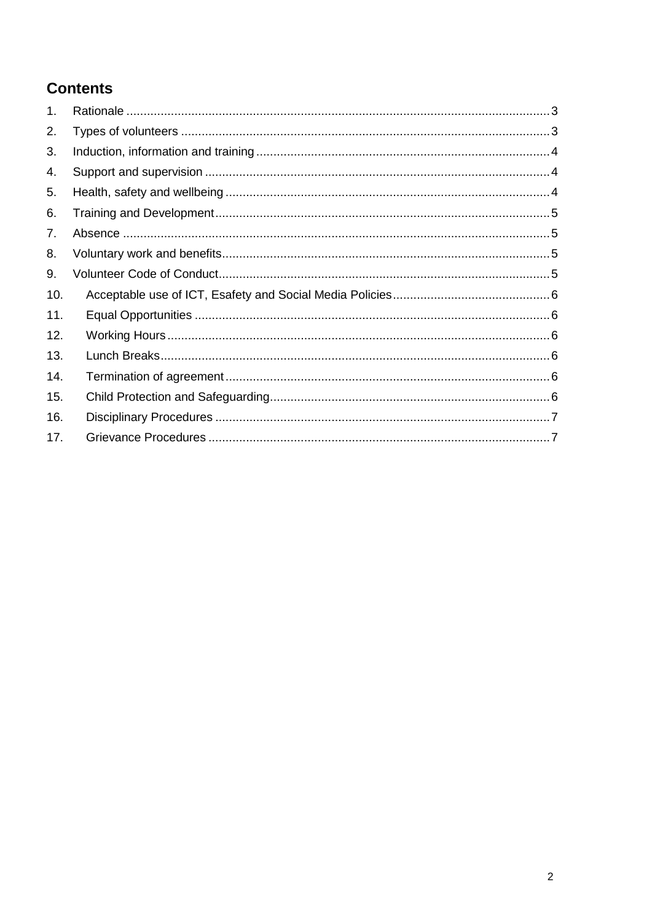## **Contents**

| 1.  |  |
|-----|--|
| 2.  |  |
| 3.  |  |
| 4.  |  |
| 5.  |  |
| 6.  |  |
| 7.  |  |
| 8.  |  |
| 9.  |  |
| 10. |  |
| 11. |  |
| 12. |  |
| 13. |  |
| 14. |  |
| 15. |  |
| 16. |  |
| 17. |  |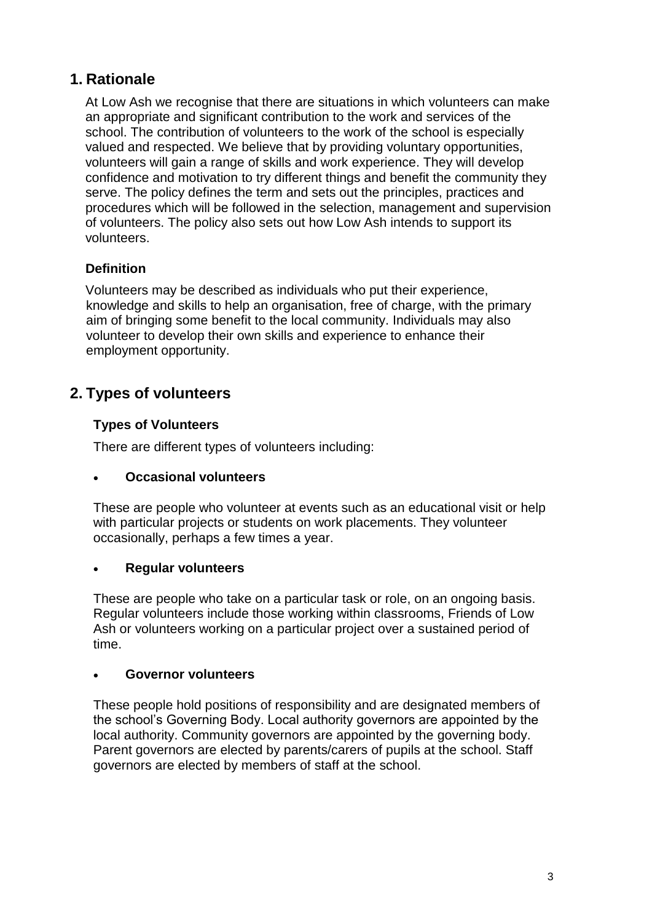#### **1. Rationale**

At Low Ash we recognise that there are situations in which volunteers can make an appropriate and significant contribution to the work and services of the school. The contribution of volunteers to the work of the school is especially valued and respected. We believe that by providing voluntary opportunities, volunteers will gain a range of skills and work experience. They will develop confidence and motivation to try different things and benefit the community they serve. The policy defines the term and sets out the principles, practices and procedures which will be followed in the selection, management and supervision of volunteers. The policy also sets out how Low Ash intends to support its volunteers.

#### **Definition**

Volunteers may be described as individuals who put their experience, knowledge and skills to help an organisation, free of charge, with the primary aim of bringing some benefit to the local community. Individuals may also volunteer to develop their own skills and experience to enhance their employment opportunity.

#### **2. Types of volunteers**

#### **Types of Volunteers**

There are different types of volunteers including:

#### • **Occasional volunteers**

These are people who volunteer at events such as an educational visit or help with particular projects or students on work placements. They volunteer occasionally, perhaps a few times a year.

#### • **Regular volunteers**

These are people who take on a particular task or role, on an ongoing basis. Regular volunteers include those working within classrooms, Friends of Low Ash or volunteers working on a particular project over a sustained period of time.

#### • **Governor volunteers**

These people hold positions of responsibility and are designated members of the school's Governing Body. Local authority governors are appointed by the local authority. Community governors are appointed by the governing body. Parent governors are elected by parents/carers of pupils at the school. Staff governors are elected by members of staff at the school.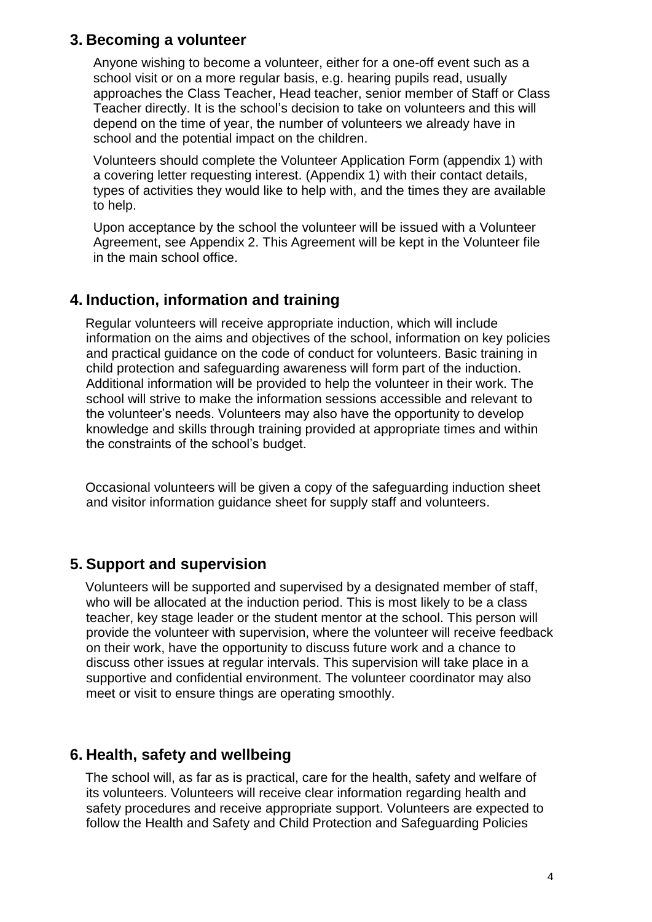#### **3. Becoming a volunteer**

Anyone wishing to become a volunteer, either for a one-off event such as a school visit or on a more regular basis, e.g. hearing pupils read, usually approaches the Class Teacher, Head teacher, senior member of Staff or Class Teacher directly. It is the school's decision to take on volunteers and this will depend on the time of year, the number of volunteers we already have in school and the potential impact on the children.

Volunteers should complete the Volunteer Application Form (appendix 1) with a covering letter requesting interest. (Appendix 1) with their contact details, types of activities they would like to help with, and the times they are available to help.

Upon acceptance by the school the volunteer will be issued with a Volunteer Agreement, see Appendix 2. This Agreement will be kept in the Volunteer file in the main school office.

#### **4. Induction, information and training**

Regular volunteers will receive appropriate induction, which will include information on the aims and objectives of the school, information on key policies and practical guidance on the code of conduct for volunteers. Basic training in child protection and safeguarding awareness will form part of the induction. Additional information will be provided to help the volunteer in their work. The school will strive to make the information sessions accessible and relevant to the volunteer's needs. Volunteers may also have the opportunity to develop knowledge and skills through training provided at appropriate times and within the constraints of the school's budget.

Occasional volunteers will be given a copy of the safeguarding induction sheet and visitor information guidance sheet for supply staff and volunteers.

#### **5. Support and supervision**

Volunteers will be supported and supervised by a designated member of staff, who will be allocated at the induction period. This is most likely to be a class teacher, key stage leader or the student mentor at the school. This person will provide the volunteer with supervision, where the volunteer will receive feedback on their work, have the opportunity to discuss future work and a chance to discuss other issues at regular intervals. This supervision will take place in a supportive and confidential environment. The volunteer coordinator may also meet or visit to ensure things are operating smoothly.

#### **6. Health, safety and wellbeing**

The school will, as far as is practical, care for the health, safety and welfare of its volunteers. Volunteers will receive clear information regarding health and safety procedures and receive appropriate support. Volunteers are expected to follow the Health and Safety and Child Protection and Safeguarding Policies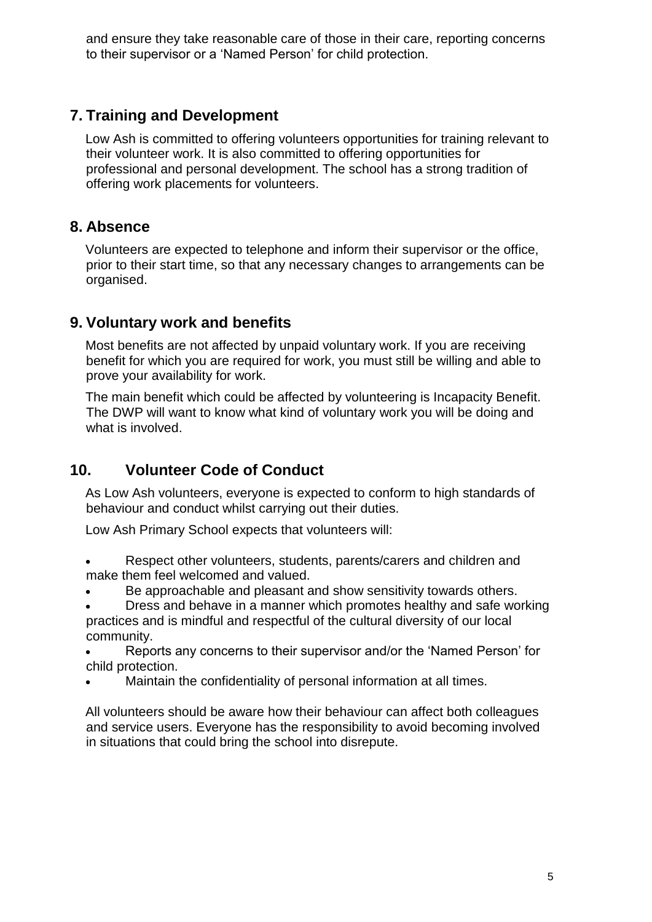and ensure they take reasonable care of those in their care, reporting concerns to their supervisor or a 'Named Person' for child protection.

### **7. Training and Development**

Low Ash is committed to offering volunteers opportunities for training relevant to their volunteer work. It is also committed to offering opportunities for professional and personal development. The school has a strong tradition of offering work placements for volunteers.

#### **8. Absence**

Volunteers are expected to telephone and inform their supervisor or the office, prior to their start time, so that any necessary changes to arrangements can be organised.

#### **9. Voluntary work and benefits**

Most benefits are not affected by unpaid voluntary work. If you are receiving benefit for which you are required for work, you must still be willing and able to prove your availability for work.

The main benefit which could be affected by volunteering is Incapacity Benefit. The DWP will want to know what kind of voluntary work you will be doing and what is involved.

### **10. Volunteer Code of Conduct**

As Low Ash volunteers, everyone is expected to conform to high standards of behaviour and conduct whilst carrying out their duties.

Low Ash Primary School expects that volunteers will:

- Respect other volunteers, students, parents/carers and children and make them feel welcomed and valued.
- Be approachable and pleasant and show sensitivity towards others.
- Dress and behave in a manner which promotes healthy and safe working practices and is mindful and respectful of the cultural diversity of our local community.
- Reports any concerns to their supervisor and/or the 'Named Person' for child protection.
- Maintain the confidentiality of personal information at all times.

All volunteers should be aware how their behaviour can affect both colleagues and service users. Everyone has the responsibility to avoid becoming involved in situations that could bring the school into disrepute.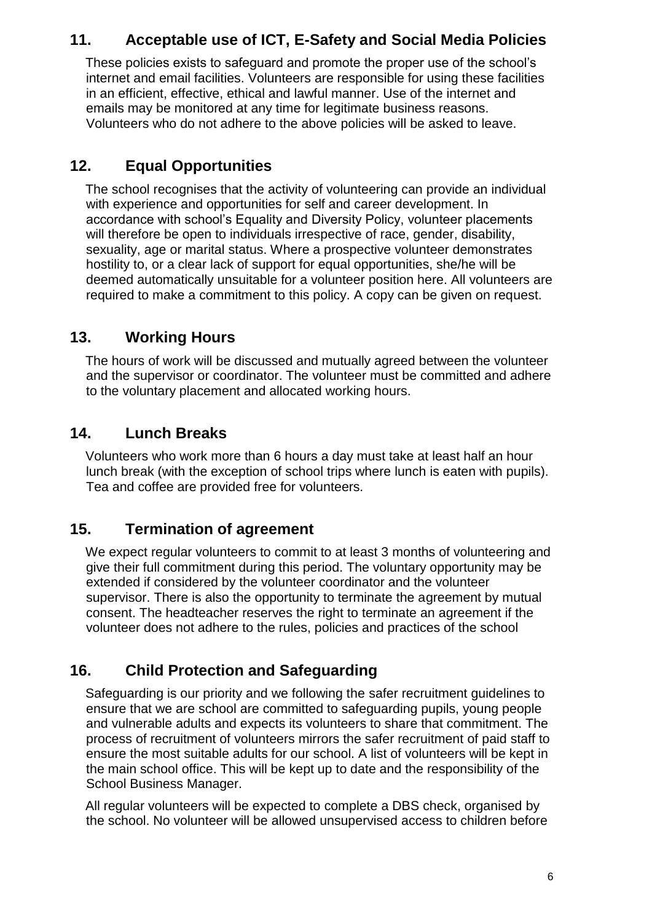### **11. Acceptable use of ICT, E-Safety and Social Media Policies**

These policies exists to safeguard and promote the proper use of the school's internet and email facilities. Volunteers are responsible for using these facilities in an efficient, effective, ethical and lawful manner. Use of the internet and emails may be monitored at any time for legitimate business reasons. Volunteers who do not adhere to the above policies will be asked to leave.

### **12. Equal Opportunities**

The school recognises that the activity of volunteering can provide an individual with experience and opportunities for self and career development. In accordance with school's Equality and Diversity Policy, volunteer placements will therefore be open to individuals irrespective of race, gender, disability, sexuality, age or marital status. Where a prospective volunteer demonstrates hostility to, or a clear lack of support for equal opportunities, she/he will be deemed automatically unsuitable for a volunteer position here. All volunteers are required to make a commitment to this policy. A copy can be given on request.

#### **13. Working Hours**

The hours of work will be discussed and mutually agreed between the volunteer and the supervisor or coordinator. The volunteer must be committed and adhere to the voluntary placement and allocated working hours.

#### **14. Lunch Breaks**

Volunteers who work more than 6 hours a day must take at least half an hour lunch break (with the exception of school trips where lunch is eaten with pupils). Tea and coffee are provided free for volunteers.

#### **15. Termination of agreement**

We expect regular volunteers to commit to at least 3 months of volunteering and give their full commitment during this period. The voluntary opportunity may be extended if considered by the volunteer coordinator and the volunteer supervisor. There is also the opportunity to terminate the agreement by mutual consent. The headteacher reserves the right to terminate an agreement if the volunteer does not adhere to the rules, policies and practices of the school

## **16. Child Protection and Safeguarding**

Safeguarding is our priority and we following the safer recruitment guidelines to ensure that we are school are committed to safeguarding pupils, young people and vulnerable adults and expects its volunteers to share that commitment. The process of recruitment of volunteers mirrors the safer recruitment of paid staff to ensure the most suitable adults for our school. A list of volunteers will be kept in the main school office. This will be kept up to date and the responsibility of the School Business Manager.

All regular volunteers will be expected to complete a DBS check, organised by the school. No volunteer will be allowed unsupervised access to children before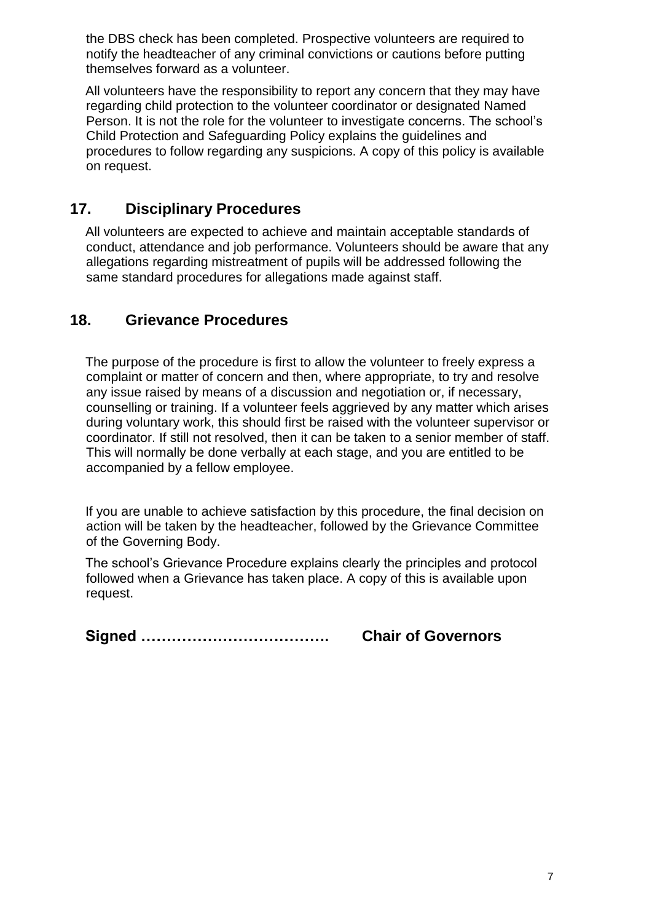the DBS check has been completed. Prospective volunteers are required to notify the headteacher of any criminal convictions or cautions before putting themselves forward as a volunteer.

All volunteers have the responsibility to report any concern that they may have regarding child protection to the volunteer coordinator or designated Named Person. It is not the role for the volunteer to investigate concerns. The school's Child Protection and Safeguarding Policy explains the guidelines and procedures to follow regarding any suspicions. A copy of this policy is available on request.

## **17. Disciplinary Procedures**

All volunteers are expected to achieve and maintain acceptable standards of conduct, attendance and job performance. Volunteers should be aware that any allegations regarding mistreatment of pupils will be addressed following the same standard procedures for allegations made against staff.

#### **18. Grievance Procedures**

The purpose of the procedure is first to allow the volunteer to freely express a complaint or matter of concern and then, where appropriate, to try and resolve any issue raised by means of a discussion and negotiation or, if necessary, counselling or training. If a volunteer feels aggrieved by any matter which arises during voluntary work, this should first be raised with the volunteer supervisor or coordinator. If still not resolved, then it can be taken to a senior member of staff. This will normally be done verbally at each stage, and you are entitled to be accompanied by a fellow employee.

If you are unable to achieve satisfaction by this procedure, the final decision on action will be taken by the headteacher, followed by the Grievance Committee of the Governing Body.

The school's Grievance Procedure explains clearly the principles and protocol followed when a Grievance has taken place. A copy of this is available upon request.

**Signed ………………………………. Chair of Governors**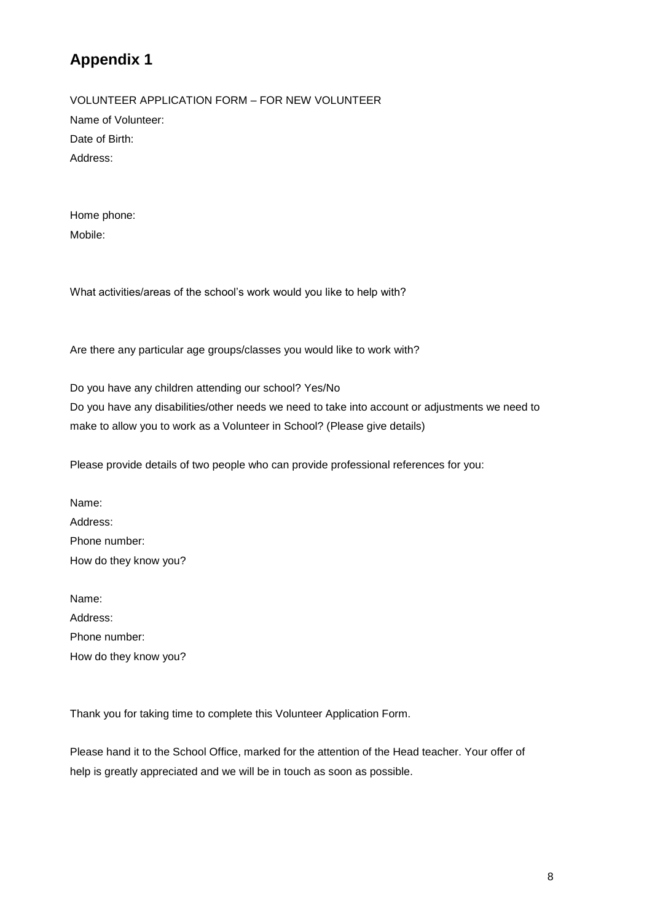## **Appendix 1**

VOLUNTEER APPLICATION FORM – FOR NEW VOLUNTEER Name of Volunteer: Date of Birth: Address:

Home phone: Mobile:

What activities/areas of the school's work would you like to help with?

Are there any particular age groups/classes you would like to work with?

Do you have any children attending our school? Yes/No Do you have any disabilities/other needs we need to take into account or adjustments we need to make to allow you to work as a Volunteer in School? (Please give details)

Please provide details of two people who can provide professional references for you:

Name: Address: Phone number: How do they know you?

Name: Address: Phone number: How do they know you?

Thank you for taking time to complete this Volunteer Application Form.

Please hand it to the School Office, marked for the attention of the Head teacher. Your offer of help is greatly appreciated and we will be in touch as soon as possible.